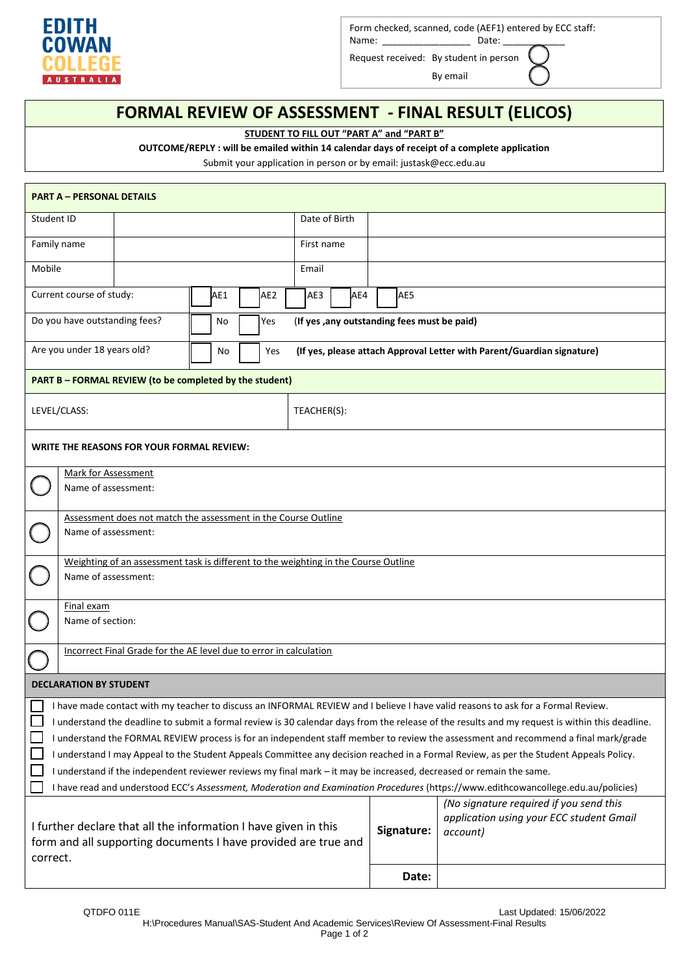

Form checked, scanned, code (AEF1) entered by ECC staff:

Name: \_\_\_\_\_\_\_\_\_\_\_\_\_\_\_\_\_ Date: \_\_\_\_\_\_\_\_\_\_\_\_ Request received: By student in person

By email

## **FORMAL REVIEW OF ASSESSMENT - FINAL RESULT (ELICOS)**

**STUDENT TO FILL OUT "PART A" and "PART B"**

**OUTCOME/REPLY : will be emailed within 14 calendar days of receipt of a complete application**

Submit your application in person or by email: justask@ecc.edu.au

| <b>PART A - PERSONAL DETAILS</b>                                                                                                                                                                                                                                                                                                                                                                                                                                                                                                                                                                                                                                                                                                                                                                                                  |                                                                        |  |  |  |  |
|-----------------------------------------------------------------------------------------------------------------------------------------------------------------------------------------------------------------------------------------------------------------------------------------------------------------------------------------------------------------------------------------------------------------------------------------------------------------------------------------------------------------------------------------------------------------------------------------------------------------------------------------------------------------------------------------------------------------------------------------------------------------------------------------------------------------------------------|------------------------------------------------------------------------|--|--|--|--|
| Student ID                                                                                                                                                                                                                                                                                                                                                                                                                                                                                                                                                                                                                                                                                                                                                                                                                        | Date of Birth                                                          |  |  |  |  |
| Family name                                                                                                                                                                                                                                                                                                                                                                                                                                                                                                                                                                                                                                                                                                                                                                                                                       | First name                                                             |  |  |  |  |
| Mobile                                                                                                                                                                                                                                                                                                                                                                                                                                                                                                                                                                                                                                                                                                                                                                                                                            | Email                                                                  |  |  |  |  |
| Current course of study:<br>AE <sub>2</sub><br>AE1                                                                                                                                                                                                                                                                                                                                                                                                                                                                                                                                                                                                                                                                                                                                                                                | AE5<br>AE3<br>AE4                                                      |  |  |  |  |
| Do you have outstanding fees?<br>No<br>Yes                                                                                                                                                                                                                                                                                                                                                                                                                                                                                                                                                                                                                                                                                                                                                                                        | (If yes , any outstanding fees must be paid)                           |  |  |  |  |
| Are you under 18 years old?<br>No<br>Yes                                                                                                                                                                                                                                                                                                                                                                                                                                                                                                                                                                                                                                                                                                                                                                                          | (If yes, please attach Approval Letter with Parent/Guardian signature) |  |  |  |  |
| <b>PART B - FORMAL REVIEW (to be completed by the student)</b>                                                                                                                                                                                                                                                                                                                                                                                                                                                                                                                                                                                                                                                                                                                                                                    |                                                                        |  |  |  |  |
| LEVEL/CLASS:                                                                                                                                                                                                                                                                                                                                                                                                                                                                                                                                                                                                                                                                                                                                                                                                                      | TEACHER(S):                                                            |  |  |  |  |
| WRITE THE REASONS FOR YOUR FORMAL REVIEW:                                                                                                                                                                                                                                                                                                                                                                                                                                                                                                                                                                                                                                                                                                                                                                                         |                                                                        |  |  |  |  |
| Mark for Assessment<br>Name of assessment:                                                                                                                                                                                                                                                                                                                                                                                                                                                                                                                                                                                                                                                                                                                                                                                        |                                                                        |  |  |  |  |
| Assessment does not match the assessment in the Course Outline<br>Name of assessment:                                                                                                                                                                                                                                                                                                                                                                                                                                                                                                                                                                                                                                                                                                                                             |                                                                        |  |  |  |  |
| Weighting of an assessment task is different to the weighting in the Course Outline<br>Name of assessment:                                                                                                                                                                                                                                                                                                                                                                                                                                                                                                                                                                                                                                                                                                                        |                                                                        |  |  |  |  |
| Final exam<br>Name of section:                                                                                                                                                                                                                                                                                                                                                                                                                                                                                                                                                                                                                                                                                                                                                                                                    |                                                                        |  |  |  |  |
| Incorrect Final Grade for the AE level due to error in calculation                                                                                                                                                                                                                                                                                                                                                                                                                                                                                                                                                                                                                                                                                                                                                                |                                                                        |  |  |  |  |
| <b>DECLARATION BY STUDENT</b>                                                                                                                                                                                                                                                                                                                                                                                                                                                                                                                                                                                                                                                                                                                                                                                                     |                                                                        |  |  |  |  |
| I have made contact with my teacher to discuss an INFORMAL REVIEW and I believe I have valid reasons to ask for a Formal Review.<br>I understand the deadline to submit a formal review is 30 calendar days from the release of the results and my request is within this deadline.<br>I understand the FORMAL REVIEW process is for an independent staff member to review the assessment and recommend a final mark/grade<br>I understand I may Appeal to the Student Appeals Committee any decision reached in a Formal Review, as per the Student Appeals Policy.<br>I understand if the independent reviewer reviews my final mark - it may be increased, decreased or remain the same.<br>I have read and understood ECC's Assessment, Moderation and Examination Procedures (https://www.edithcowancollege.edu.au/policies) |                                                                        |  |  |  |  |
|                                                                                                                                                                                                                                                                                                                                                                                                                                                                                                                                                                                                                                                                                                                                                                                                                                   | (No signature required if you send this                                |  |  |  |  |
| I further declare that all the information I have given in this<br>form and all supporting documents I have provided are true and<br>correct.                                                                                                                                                                                                                                                                                                                                                                                                                                                                                                                                                                                                                                                                                     | application using your ECC student Gmail<br>Signature:<br>account)     |  |  |  |  |
|                                                                                                                                                                                                                                                                                                                                                                                                                                                                                                                                                                                                                                                                                                                                                                                                                                   | Date:                                                                  |  |  |  |  |